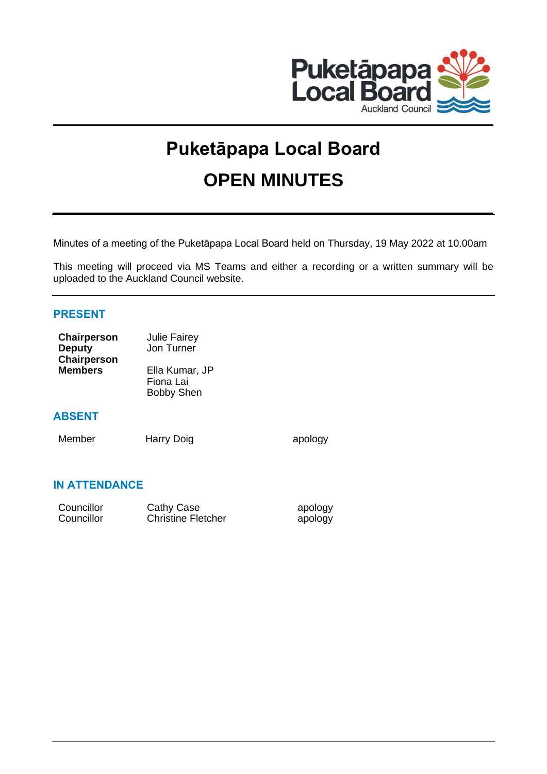

# **Puketāpapa Local Board OPEN MINUTES**

Minutes of a meeting of the Puketāpapa Local Board held on Thursday, 19 May 2022 at 10.00am

This meeting will proceed via MS Teams and either a recording or a written summary will be uploaded to the Auckland Council website.

# **PRESENT**

| Chairperson    | <b>Julie Fairey</b> |
|----------------|---------------------|
| <b>Deputy</b>  | Jon Turner          |
| Chairperson    |                     |
| <b>Members</b> | Ella Kumar, JP      |
|                | Fiona Lai           |
|                | <b>Bobby Shen</b>   |
|                |                     |

# **ABSENT**

Member Harry Doig apology

# **IN ATTENDANCE**

| Councillor | Cathy Case                | apology |
|------------|---------------------------|---------|
| Councillor | <b>Christine Fletcher</b> | apology |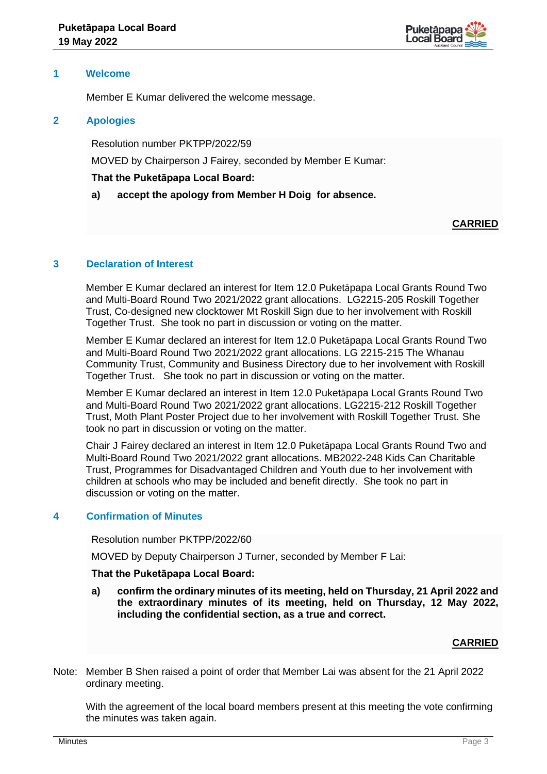

## **1 Welcome**

Member E Kumar delivered the welcome message.

## **2 Apologies**

Resolution number PKTPP/2022/59

MOVED by Chairperson J Fairey, seconded by Member E Kumar:

## **That the Puketāpapa Local Board:**

**a) accept the apology from Member H Doig for absence.**

# **CARRIED**

## **3 Declaration of Interest**

Member E Kumar declared an interest for Item 12.0 Puketāpapa Local Grants Round Two and Multi-Board Round Two 2021/2022 grant allocations. LG2215-205 Roskill Together Trust, Co-designed new clocktower Mt Roskill Sign due to her involvement with Roskill Together Trust. She took no part in discussion or voting on the matter.

Member E Kumar declared an interest for Item 12.0 Puketāpapa Local Grants Round Two and Multi-Board Round Two 2021/2022 grant allocations. LG 2215-215 The Whanau Community Trust, Community and Business Directory due to her involvement with Roskill Together Trust. She took no part in discussion or voting on the matter.

Member E Kumar declared an interest in Item 12.0 Puketāpapa Local Grants Round Two and Multi-Board Round Two 2021/2022 grant allocations. LG2215-212 Roskill Together Trust, Moth Plant Poster Project due to her involvement with Roskill Together Trust. She took no part in discussion or voting on the matter.

Chair J Fairey declared an interest in Item 12.0 Puketāpapa Local Grants Round Two and Multi-Board Round Two 2021/2022 grant allocations. MB2022-248 Kids Can Charitable Trust, Programmes for Disadvantaged Children and Youth due to her involvement with children at schools who may be included and benefit directly. She took no part in discussion or voting on the matter.

# **4 Confirmation of Minutes**

Resolution number PKTPP/2022/60

MOVED by Deputy Chairperson J Turner, seconded by Member F Lai:

## **That the Puketāpapa Local Board:**

**a) confirm the ordinary minutes of its meeting, held on Thursday, 21 April 2022 and the extraordinary minutes of its meeting, held on Thursday, 12 May 2022, including the confidential section, as a true and correct.**

# **CARRIED**

Note: Member B Shen raised a point of order that Member Lai was absent for the 21 April 2022 ordinary meeting.

With the agreement of the local board members present at this meeting the vote confirming the minutes was taken again.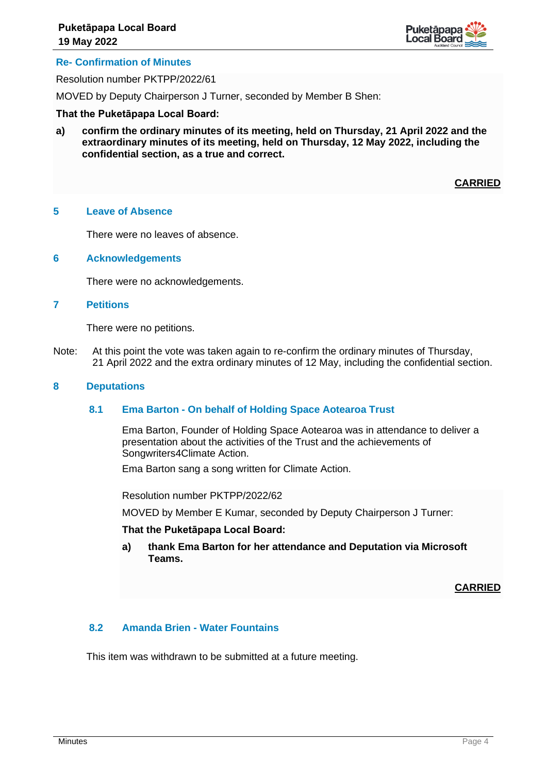

## **Re- Confirmation of Minutes**

Resolution number PKTPP/2022/61

MOVED by Deputy Chairperson J Turner, seconded by Member B Shen:

#### **That the Puketāpapa Local Board:**

**a) confirm the ordinary minutes of its meeting, held on Thursday, 21 April 2022 and the extraordinary minutes of its meeting, held on Thursday, 12 May 2022, including the confidential section, as a true and correct.**

**CARRIED**

#### **5 Leave of Absence**

There were no leaves of absence.

## **6 Acknowledgements**

There were no acknowledgements.

## **7 Petitions**

There were no petitions.

Note: At this point the vote was taken again to re-confirm the ordinary minutes of Thursday, 21 April 2022 and the extra ordinary minutes of 12 May, including the confidential section.

#### **8 Deputations**

## **8.1 Ema Barton - On behalf of Holding Space Aotearoa Trust**

Ema Barton, Founder of Holding Space Aotearoa was in attendance to deliver a presentation about the activities of the Trust and the achievements of Songwriters4Climate Action.

Ema Barton sang a song written for Climate Action.

Resolution number PKTPP/2022/62

MOVED by Member E Kumar, seconded by Deputy Chairperson J Turner:

#### **That the Puketāpapa Local Board:**

**a) thank Ema Barton for her attendance and Deputation via Microsoft Teams.**

**CARRIED**

## **8.2 Amanda Brien - Water Fountains**

This item was withdrawn to be submitted at a future meeting.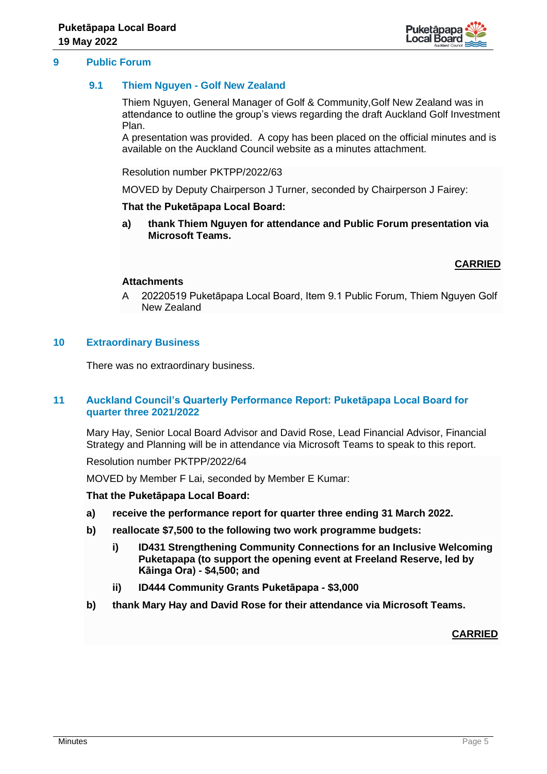

## **9 Public Forum**

## **9.1 Thiem Nguyen - Golf New Zealand**

Thiem Nguyen, General Manager of Golf & Community,Golf New Zealand was in attendance to outline the group's views regarding the draft Auckland Golf Investment Plan.

A presentation was provided. A copy has been placed on the official minutes and is available on the Auckland Council website as a minutes attachment.

Resolution number PKTPP/2022/63

MOVED by Deputy Chairperson J Turner, seconded by Chairperson J Fairey:

## **That the Puketāpapa Local Board:**

**a) thank Thiem Nguyen for attendance and Public Forum presentation via Microsoft Teams.**

## **CARRIED**

## **Attachments**

A 20220519 Puketāpapa Local Board, Item 9.1 Public Forum, Thiem Nguyen Golf New Zealand

## **10 Extraordinary Business**

There was no extraordinary business.

## **11 Auckland Council's Quarterly Performance Report: Puketāpapa Local Board for quarter three 2021/2022**

Mary Hay, Senior Local Board Advisor and David Rose, Lead Financial Advisor, Financial Strategy and Planning will be in attendance via Microsoft Teams to speak to this report.

Resolution number PKTPP/2022/64

MOVED by Member F Lai, seconded by Member E Kumar:

## **That the Puketāpapa Local Board:**

- **a) receive the performance report for quarter three ending 31 March 2022.**
- **b) reallocate \$7,500 to the following two work programme budgets:**
	- **i) ID431 Strengthening Community Connections for an Inclusive Welcoming Puketapapa (to support the opening event at Freeland Reserve, led by Kāinga Ora) - \$4,500; and**
	- **ii) ID444 Community Grants Puketāpapa - \$3,000**
- **b) thank Mary Hay and David Rose for their attendance via Microsoft Teams.**

## **CARRIED**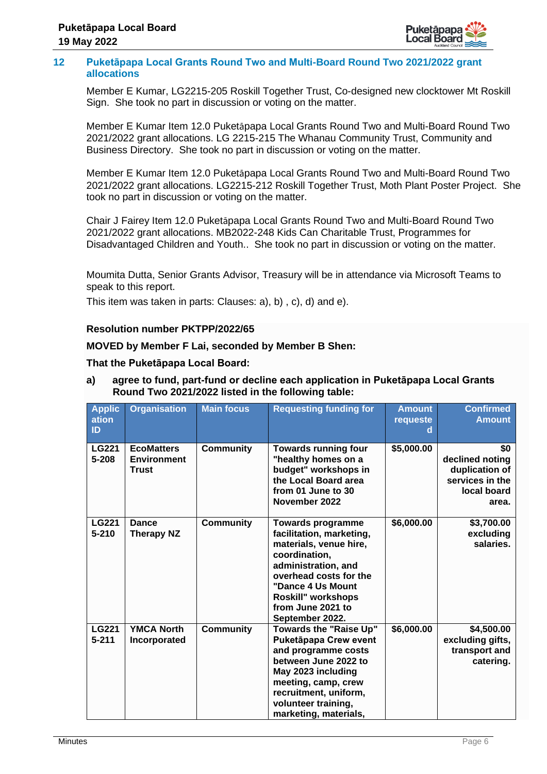

## **12 Puketāpapa Local Grants Round Two and Multi-Board Round Two 2021/2022 grant allocations**

Member E Kumar, LG2215-205 Roskill Together Trust, Co-designed new clocktower Mt Roskill Sign. She took no part in discussion or voting on the matter.

Member E Kumar Item 12.0 Puketāpapa Local Grants Round Two and Multi-Board Round Two 2021/2022 grant allocations. LG 2215-215 The Whanau Community Trust, Community and Business Directory. She took no part in discussion or voting on the matter.

Member E Kumar Item 12.0 Puketāpapa Local Grants Round Two and Multi-Board Round Two 2021/2022 grant allocations. LG2215-212 Roskill Together Trust, Moth Plant Poster Project. She took no part in discussion or voting on the matter.

Chair J Fairey Item 12.0 Puketāpapa Local Grants Round Two and Multi-Board Round Two 2021/2022 grant allocations. MB2022-248 Kids Can Charitable Trust, Programmes for Disadvantaged Children and Youth.. She took no part in discussion or voting on the matter.

Moumita Dutta, Senior Grants Advisor, Treasury will be in attendance via Microsoft Teams to speak to this report.

This item was taken in parts: Clauses: a), b) , c), d) and e).

# **Resolution number PKTPP/2022/65**

# **MOVED by Member F Lai, seconded by Member B Shen:**

# **That the Puketāpapa Local Board:**

| <b>Applic</b><br>ation<br>ID | <b>Organisation</b>                                     | <b>Main focus</b> | <b>Requesting funding for</b>                                                                                                                                                                                                       | <b>Amount</b><br>requeste | <b>Confirmed</b><br><b>Amount</b>                                                   |
|------------------------------|---------------------------------------------------------|-------------------|-------------------------------------------------------------------------------------------------------------------------------------------------------------------------------------------------------------------------------------|---------------------------|-------------------------------------------------------------------------------------|
| LG221<br>5-208               | <b>EcoMatters</b><br><b>Environment</b><br><b>Trust</b> | <b>Community</b>  | <b>Towards running four</b><br>"healthy homes on a<br>budget" workshops in<br>the Local Board area<br>from 01 June to 30<br>November 2022                                                                                           | \$5,000.00                | \$0<br>declined noting<br>duplication of<br>services in the<br>local board<br>area. |
| <b>LG221</b><br>$5 - 210$    | <b>Dance</b><br><b>Therapy NZ</b>                       | <b>Community</b>  | <b>Towards programme</b><br>facilitation, marketing,<br>materials, venue hire,<br>coordination,<br>administration, and<br>overhead costs for the<br>"Dance 4 Us Mount<br>Roskill" workshops<br>from June 2021 to<br>September 2022. | \$6,000.00                | \$3,700.00<br>excluding<br>salaries.                                                |
| <b>LG221</b><br>$5 - 211$    | <b>YMCA North</b><br>Incorporated                       | <b>Community</b>  | <b>Towards the "Raise Up"</b><br>Puketāpapa Crew event<br>and programme costs<br>between June 2022 to<br>May 2023 including<br>meeting, camp, crew<br>recruitment, uniform,<br>volunteer training,<br>marketing, materials,         | \$6,000.00                | \$4,500.00<br>excluding gifts,<br>transport and<br>catering.                        |

**a) agree to fund, part-fund or decline each application in Puketāpapa Local Grants Round Two 2021/2022 listed in the following table:**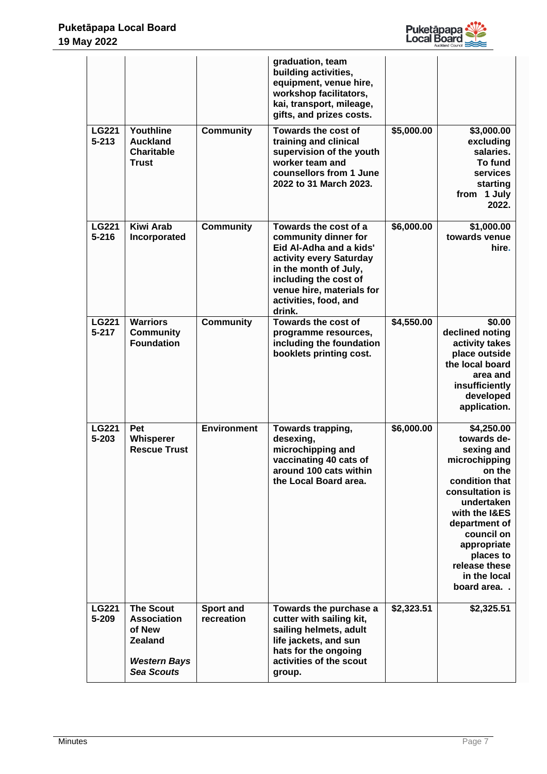

|                           |                                                                                                                |                         | graduation, team<br>building activities,<br>equipment, venue hire,<br>workshop facilitators,<br>kai, transport, mileage,<br>gifts, and prizes costs.                                                                  |            |                                                                                                                                                                                                                                                  |
|---------------------------|----------------------------------------------------------------------------------------------------------------|-------------------------|-----------------------------------------------------------------------------------------------------------------------------------------------------------------------------------------------------------------------|------------|--------------------------------------------------------------------------------------------------------------------------------------------------------------------------------------------------------------------------------------------------|
| <b>LG221</b><br>$5 - 213$ | Youthline<br><b>Auckland</b><br><b>Charitable</b><br><b>Trust</b>                                              | <b>Community</b>        | Towards the cost of<br>training and clinical<br>supervision of the youth<br>worker team and<br>counsellors from 1 June<br>2022 to 31 March 2023.                                                                      | \$5,000.00 | \$3,000.00<br>excluding<br>salaries.<br>To fund<br>services<br>starting<br>from 1 July<br>2022.                                                                                                                                                  |
| <b>LG221</b><br>$5 - 216$ | <b>Kiwi Arab</b><br>Incorporated                                                                               | <b>Community</b>        | Towards the cost of a<br>community dinner for<br>Eid Al-Adha and a kids'<br>activity every Saturday<br>in the month of July,<br>including the cost of<br>venue hire, materials for<br>activities, food, and<br>drink. | \$6,000.00 | \$1,000.00<br>towards venue<br>hire.                                                                                                                                                                                                             |
| <b>LG221</b><br>$5 - 217$ | <b>Warriors</b><br><b>Community</b><br><b>Foundation</b>                                                       | <b>Community</b>        | Towards the cost of<br>programme resources,<br>including the foundation<br>booklets printing cost.                                                                                                                    | \$4,550.00 | \$0.00<br>declined noting<br>activity takes<br>place outside<br>the local board<br>area and<br>insufficiently<br>developed<br>application.                                                                                                       |
| <b>LG221</b><br>$5 - 203$ | Pet<br>Whisperer<br><b>Rescue Trust</b>                                                                        | <b>Environment</b>      | Towards trapping,<br>desexing,<br>microchipping and<br>vaccinating 40 cats of<br>around 100 cats within<br>the Local Board area.                                                                                      | \$6,000.00 | \$4,250.00<br>towards de-<br>sexing and<br>microchipping<br>on the<br>condition that<br>consultation is<br>undertaken<br>with the I&ES<br>department of<br>council on<br>appropriate<br>places to<br>release these<br>in the local<br>board area |
| <b>LG221</b><br>5-209     | <b>The Scout</b><br><b>Association</b><br>of New<br><b>Zealand</b><br><b>Western Bays</b><br><b>Sea Scouts</b> | Sport and<br>recreation | Towards the purchase a<br>cutter with sailing kit,<br>sailing helmets, adult<br>life jackets, and sun<br>hats for the ongoing<br>activities of the scout<br>group.                                                    | \$2,323.51 | \$2,325.51                                                                                                                                                                                                                                       |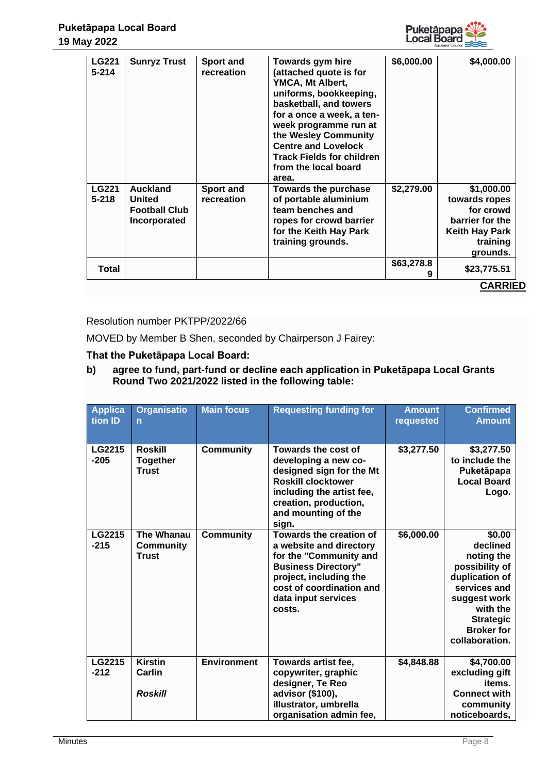

| <b>LG221</b><br>$5 - 214$ | <b>Sunryz Trust</b>                                                      | <b>Sport and</b><br>recreation | Towards gym hire<br>(attached quote is for<br>YMCA, Mt Albert,<br>uniforms, bookkeeping,<br>basketball, and towers<br>for a once a week, a ten-<br>week programme run at<br>the Wesley Community<br><b>Centre and Lovelock</b><br><b>Track Fields for children</b><br>from the local board<br>area. | \$6,000.00      | \$4,000.00                                                                                                   |
|---------------------------|--------------------------------------------------------------------------|--------------------------------|-----------------------------------------------------------------------------------------------------------------------------------------------------------------------------------------------------------------------------------------------------------------------------------------------------|-----------------|--------------------------------------------------------------------------------------------------------------|
| <b>LG221</b><br>$5 - 218$ | <b>Auckland</b><br><b>United</b><br><b>Football Club</b><br>Incorporated | <b>Sport and</b><br>recreation | <b>Towards the purchase</b><br>of portable aluminium<br>team benches and<br>ropes for crowd barrier<br>for the Keith Hay Park<br>training grounds.                                                                                                                                                  | \$2,279.00      | \$1,000.00<br>towards ropes<br>for crowd<br>barrier for the<br><b>Keith Hay Park</b><br>training<br>grounds. |
| Total                     |                                                                          |                                |                                                                                                                                                                                                                                                                                                     | \$63,278.8<br>9 | \$23,775.51                                                                                                  |
|                           |                                                                          |                                |                                                                                                                                                                                                                                                                                                     |                 | <b>CARRIED</b>                                                                                               |

## Resolution number PKTPP/2022/66

MOVED by Member B Shen, seconded by Chairperson J Fairey:

## **That the Puketāpapa Local Board:**

**b) agree to fund, part-fund or decline each application in Puketāpapa Local Grants Round Two 2021/2022 listed in the following table:** 

| Applica<br>tion ID | <b>Organisatio</b><br>$\overline{n}$              | <b>Main focus</b>  | <b>Requesting funding for</b>                                                                                                                                                                     | <b>Amount</b><br>requested | <b>Confirmed</b><br><b>Amount</b>                                                                                                                                           |
|--------------------|---------------------------------------------------|--------------------|---------------------------------------------------------------------------------------------------------------------------------------------------------------------------------------------------|----------------------------|-----------------------------------------------------------------------------------------------------------------------------------------------------------------------------|
| LG2215<br>$-205$   | <b>Roskill</b><br><b>Together</b><br><b>Trust</b> | <b>Community</b>   | Towards the cost of<br>developing a new co-<br>designed sign for the Mt<br><b>Roskill clocktower</b><br>including the artist fee,<br>creation, production,<br>and mounting of the<br>sign.        | \$3,277.50                 | \$3,277.50<br>to include the<br>Puketāpapa<br><b>Local Board</b><br>Logo.                                                                                                   |
| LG2215<br>$-215$   | The Whanau<br><b>Community</b><br><b>Trust</b>    | <b>Community</b>   | Towards the creation of<br>a website and directory<br>for the "Community and<br><b>Business Directory"</b><br>project, including the<br>cost of coordination and<br>data input services<br>costs. | \$6,000.00                 | \$0.00<br>declined<br>noting the<br>possibility of<br>duplication of<br>services and<br>suggest work<br>with the<br><b>Strategic</b><br><b>Broker for</b><br>collaboration. |
| LG2215<br>$-212$   | <b>Kirstin</b><br>Carlin<br><b>Roskill</b>        | <b>Environment</b> | Towards artist fee,<br>copywriter, graphic<br>designer, Te Reo<br>advisor (\$100),<br>illustrator, umbrella<br>organisation admin fee,                                                            | \$4,848.88                 | \$4,700.00<br>excluding gift<br>items.<br><b>Connect with</b><br>community<br>noticeboards,                                                                                 |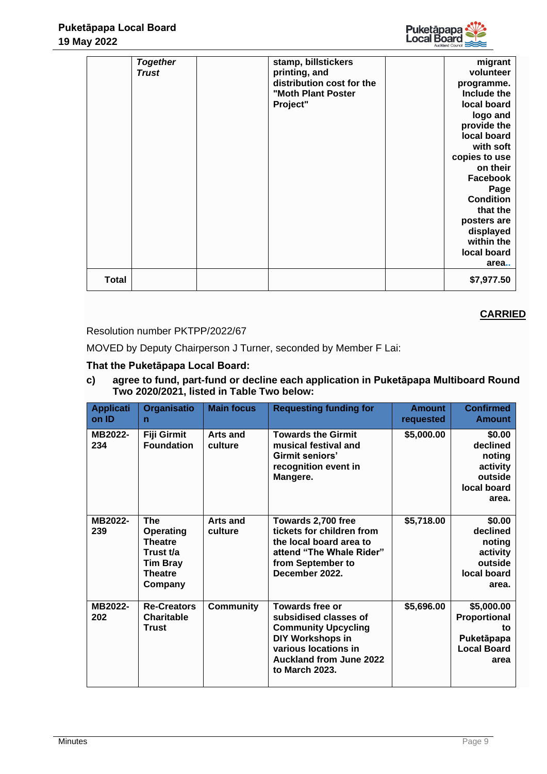|              | <b>Together</b><br>Trust | stamp, billstickers<br>printing, and<br>distribution cost for the<br>"Moth Plant Poster<br>Project" | migrant<br>volunteer<br>programme.<br>Include the<br>local board<br>logo and<br>provide the<br>local board<br>with soft<br>copies to use<br>on their<br><b>Facebook</b><br>Page<br><b>Condition</b><br>that the<br>posters are<br>displayed<br>within the<br>local board<br>area |
|--------------|--------------------------|-----------------------------------------------------------------------------------------------------|----------------------------------------------------------------------------------------------------------------------------------------------------------------------------------------------------------------------------------------------------------------------------------|
| <b>Total</b> |                          |                                                                                                     | \$7,977.50                                                                                                                                                                                                                                                                       |

# Resolution number PKTPP/2022/67

MOVED by Deputy Chairperson J Turner, seconded by Member F Lai:

# **That the Puketāpapa Local Board:**

# **c) agree to fund, part-fund or decline each application in Puketāpapa Multiboard Round Two 2020/2021, listed in Table Two below:**

| <b>Applicati</b><br>on ID | <b>Organisatio</b><br>$\mathbf n$                                                                      | <b>Main focus</b>          | <b>Requesting funding for</b>                                                                                                                                          | <b>Amount</b><br>requested | <b>Confirmed</b><br><b>Amount</b>                                                   |
|---------------------------|--------------------------------------------------------------------------------------------------------|----------------------------|------------------------------------------------------------------------------------------------------------------------------------------------------------------------|----------------------------|-------------------------------------------------------------------------------------|
| MB2022-<br>234            | <b>Fiji Girmit</b><br><b>Foundation</b>                                                                | Arts and<br>culture        | <b>Towards the Girmit</b><br>musical festival and<br>Girmit seniors'<br>recognition event in<br>Mangere.                                                               | \$5,000.00                 | \$0.00<br>declined<br>noting<br>activity<br>outside<br>local board<br>area.         |
| MB2022-<br>239            | <b>The</b><br>Operating<br><b>Theatre</b><br>Trust t/a<br><b>Tim Bray</b><br><b>Theatre</b><br>Company | <b>Arts and</b><br>culture | Towards 2,700 free<br>tickets for children from<br>the local board area to<br>attend "The Whale Rider"<br>from September to<br>December 2022.                          | \$5,718.00                 | \$0.00<br>declined<br>noting<br>activity<br>outside<br>local board<br>area.         |
| MB2022-<br>202            | <b>Re-Creators</b><br><b>Charitable</b><br><b>Trust</b>                                                | <b>Community</b>           | Towards free or<br>subsidised classes of<br><b>Community Upcycling</b><br>DIY Workshops in<br>various locations in<br><b>Auckland from June 2022</b><br>to March 2023. | \$5,696.00                 | \$5,000.00<br><b>Proportional</b><br>to<br>Puketāpapa<br><b>Local Board</b><br>area |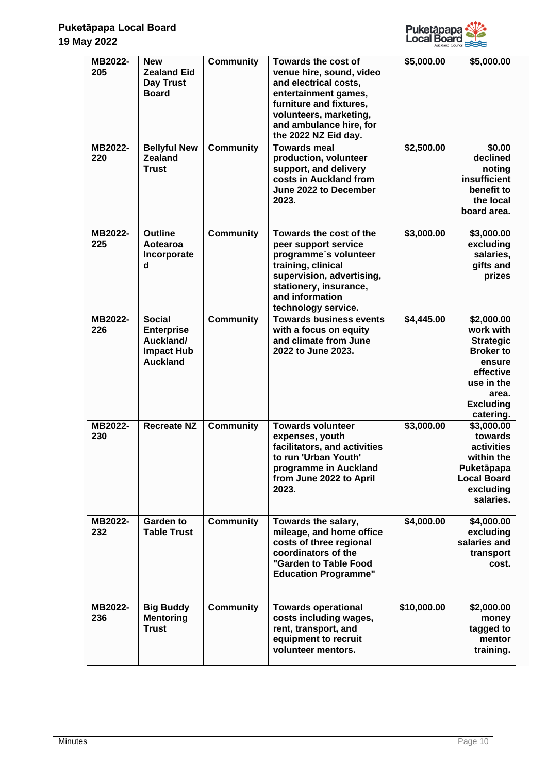

| MB2022-<br>205<br>MB2022-<br>220 | <b>New</b><br><b>Zealand Eid</b><br><b>Day Trust</b><br><b>Board</b><br><b>Bellyful New</b><br><b>Zealand</b> | <b>Community</b><br><b>Community</b> | Towards the cost of<br>venue hire, sound, video<br>and electrical costs,<br>entertainment games,<br>furniture and fixtures,<br>volunteers, marketing,<br>and ambulance hire, for<br>the 2022 NZ Eid day.<br><b>Towards meal</b> | \$5,000.00<br>\$2,500.00 | \$5,000.00<br>\$0.00<br>declined                                                                                                               |
|----------------------------------|---------------------------------------------------------------------------------------------------------------|--------------------------------------|---------------------------------------------------------------------------------------------------------------------------------------------------------------------------------------------------------------------------------|--------------------------|------------------------------------------------------------------------------------------------------------------------------------------------|
|                                  | <b>Trust</b>                                                                                                  |                                      | production, volunteer<br>support, and delivery<br>costs in Auckland from<br>June 2022 to December<br>2023.                                                                                                                      |                          | noting<br>insufficient<br>benefit to<br>the local<br>board area.                                                                               |
| MB2022-<br>225                   | <b>Outline</b><br>Aotearoa<br>Incorporate<br>d                                                                | <b>Community</b>                     | Towards the cost of the<br>peer support service<br>programme's volunteer<br>training, clinical<br>supervision, advertising,<br>stationery, insurance,<br>and information<br>technology service.                                 | \$3,000.00               | \$3,000.00<br>excluding<br>salaries,<br>gifts and<br>prizes                                                                                    |
| MB2022-<br>226                   | <b>Social</b><br><b>Enterprise</b><br>Auckland/<br><b>Impact Hub</b><br><b>Auckland</b>                       | <b>Community</b>                     | <b>Towards business events</b><br>with a focus on equity<br>and climate from June<br>2022 to June 2023.                                                                                                                         | \$4,445.00               | \$2,000.00<br>work with<br><b>Strategic</b><br><b>Broker to</b><br>ensure<br>effective<br>use in the<br>area.<br><b>Excluding</b><br>catering. |
| <b>MB2022-</b><br>230            | <b>Recreate NZ</b>                                                                                            | <b>Community</b>                     | <b>Towards volunteer</b><br>expenses, youth<br>facilitators, and activities<br>to run 'Urban Youth'<br>programme in Auckland<br>from June 2022 to April<br>2023.                                                                | \$3,000.00               | \$3,000.00<br>towards<br>activities<br>within the<br>Puketāpapa<br><b>Local Board</b><br>excluding<br>salaries.                                |
| MB2022-<br>232                   | Garden to<br><b>Table Trust</b>                                                                               | <b>Community</b>                     | Towards the salary,<br>mileage, and home office<br>costs of three regional<br>coordinators of the<br>"Garden to Table Food<br><b>Education Programme"</b>                                                                       | \$4,000.00               | \$4,000.00<br>excluding<br>salaries and<br>transport<br>cost.                                                                                  |
| MB2022-<br>236                   | <b>Big Buddy</b><br><b>Mentoring</b><br><b>Trust</b>                                                          | <b>Community</b>                     | <b>Towards operational</b><br>costs including wages,<br>rent, transport, and<br>equipment to recruit<br>volunteer mentors.                                                                                                      | \$10,000.00              | \$2,000.00<br>money<br>tagged to<br>mentor<br>training.                                                                                        |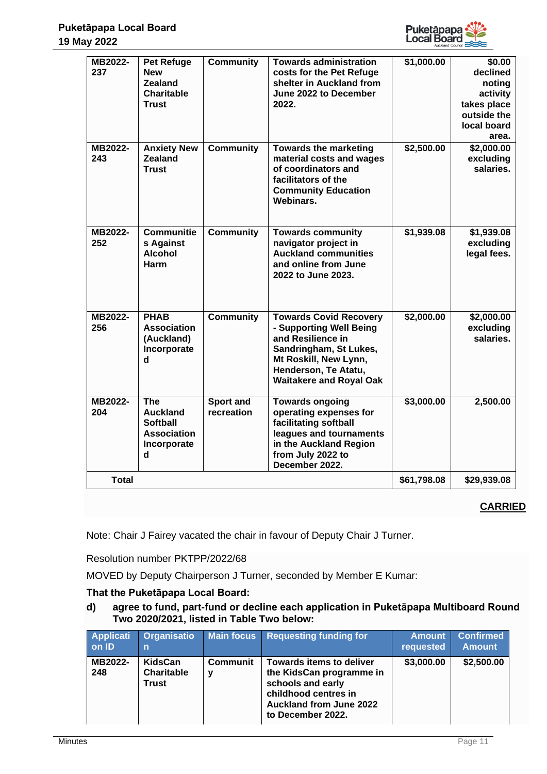

| MB2022-<br>237 | <b>Pet Refuge</b><br><b>New</b><br><b>Zealand</b><br><b>Charitable</b><br><b>Trust</b> | <b>Community</b>        | <b>Towards administration</b><br>costs for the Pet Refuge<br>shelter in Auckland from<br>June 2022 to December<br>2022.                                                                    | \$1,000.00  | \$0.00<br>declined<br>noting<br>activity<br>takes place<br>outside the<br>local board<br>area. |
|----------------|----------------------------------------------------------------------------------------|-------------------------|--------------------------------------------------------------------------------------------------------------------------------------------------------------------------------------------|-------------|------------------------------------------------------------------------------------------------|
| MB2022-<br>243 | <b>Anxiety New</b><br><b>Zealand</b><br><b>Trust</b>                                   | <b>Community</b>        | <b>Towards the marketing</b><br>material costs and wages<br>of coordinators and<br>facilitators of the<br><b>Community Education</b><br>Webinars.                                          | \$2,500.00  | \$2,000.00<br>excluding<br>salaries.                                                           |
| MB2022-<br>252 | <b>Communitie</b><br>s Against<br><b>Alcohol</b><br>Harm                               | <b>Community</b>        | <b>Towards community</b><br>navigator project in<br><b>Auckland communities</b><br>and online from June<br>2022 to June 2023.                                                              | \$1,939.08  | \$1,939.08<br>excluding<br>legal fees.                                                         |
| MB2022-<br>256 | <b>PHAB</b><br><b>Association</b><br>(Auckland)<br>Incorporate<br>d                    | <b>Community</b>        | <b>Towards Covid Recovery</b><br>- Supporting Well Being<br>and Resilience in<br>Sandringham, St Lukes,<br>Mt Roskill, New Lynn,<br>Henderson, Te Atatu,<br><b>Waitakere and Royal Oak</b> | \$2,000.00  | \$2,000.00<br>excluding<br>salaries.                                                           |
| MB2022-<br>204 | <b>The</b><br><b>Auckland</b><br><b>Softball</b><br>Association<br>Incorporate<br>d    | Sport and<br>recreation | <b>Towards ongoing</b><br>operating expenses for<br>facilitating softball<br>leagues and tournaments<br>in the Auckland Region<br>from July 2022 to<br>December 2022.                      | \$3,000.00  | 2,500.00                                                                                       |
| <b>Total</b>   |                                                                                        |                         |                                                                                                                                                                                            | \$61,798.08 | \$29,939.08                                                                                    |

Note: Chair J Fairey vacated the chair in favour of Deputy Chair J Turner.

Resolution number PKTPP/2022/68

MOVED by Deputy Chairperson J Turner, seconded by Member E Kumar:

# **That the Puketāpapa Local Board:**

**d) agree to fund, part-fund or decline each application in Puketāpapa Multiboard Round Two 2020/2021, listed in Table Two below:**

| <b>Applicati</b><br>on ID | Organisatio<br>n                             | <b>Main focus</b> | <b>Requesting funding for</b>                                                                                                                                   | <b>Amount</b><br>requested | <b>Confirmed</b><br><b>Amount</b> |
|---------------------------|----------------------------------------------|-------------------|-----------------------------------------------------------------------------------------------------------------------------------------------------------------|----------------------------|-----------------------------------|
| MB2022-<br>248            | KidsCan<br><b>Charitable</b><br><b>Trust</b> | <b>Communit</b>   | <b>Towards items to deliver</b><br>the KidsCan programme in<br>schools and early<br>childhood centres in<br><b>Auckland from June 2022</b><br>to December 2022. | \$3,000.00                 | \$2,500.00                        |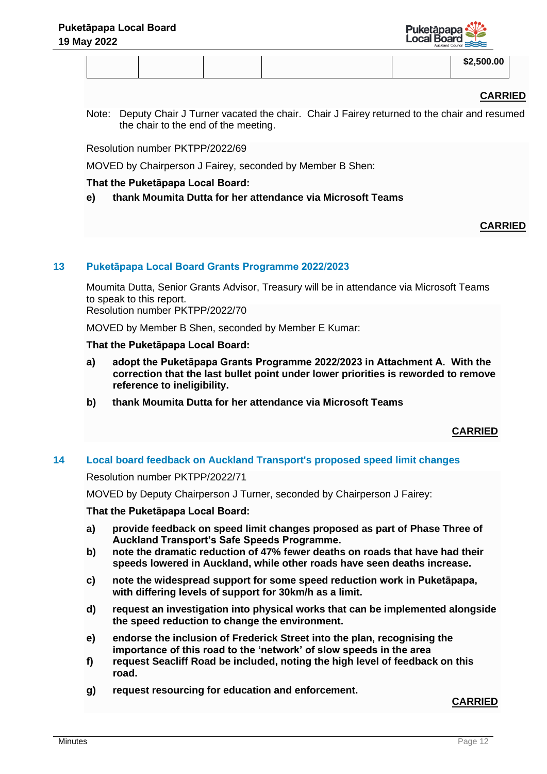

|  |  |  |  |  | \$2,500.00 |
|--|--|--|--|--|------------|
|--|--|--|--|--|------------|

Note: Deputy Chair J Turner vacated the chair. Chair J Fairey returned to the chair and resumed the chair to the end of the meeting.

Resolution number PKTPP/2022/69

MOVED by Chairperson J Fairey, seconded by Member B Shen:

# **That the Puketāpapa Local Board:**

**e) thank Moumita Dutta for her attendance via Microsoft Teams**

# **CARRIED**

# **13 Puketāpapa Local Board Grants Programme 2022/2023**

Moumita Dutta, Senior Grants Advisor, Treasury will be in attendance via Microsoft Teams to speak to this report.

Resolution number PKTPP/2022/70

MOVED by Member B Shen, seconded by Member E Kumar:

## **That the Puketāpapa Local Board:**

- **a) adopt the Puketāpapa Grants Programme 2022/2023 in Attachment A. With the correction that the last bullet point under lower priorities is reworded to remove reference to ineligibility.**
- **b) thank Moumita Dutta for her attendance via Microsoft Teams**

# **CARRIED**

# **14 Local board feedback on Auckland Transport's proposed speed limit changes**

## Resolution number PKTPP/2022/71

MOVED by Deputy Chairperson J Turner, seconded by Chairperson J Fairey:

## **That the Puketāpapa Local Board:**

- **a) provide feedback on speed limit changes proposed as part of Phase Three of Auckland Transport's Safe Speeds Programme.**
- **b) note the dramatic reduction of 47% fewer deaths on roads that have had their speeds lowered in Auckland, while other roads have seen deaths increase.**
- **c) note the widespread support for some speed reduction work in Puketāpapa, with differing levels of support for 30km/h as a limit.**
- **d) request an investigation into physical works that can be implemented alongside the speed reduction to change the environment.**
- **e) endorse the inclusion of Frederick Street into the plan, recognising the importance of this road to the 'network' of slow speeds in the area**
- **f) request Seacliff Road be included, noting the high level of feedback on this road.**
- **g) request resourcing for education and enforcement.**

# **CARRIED**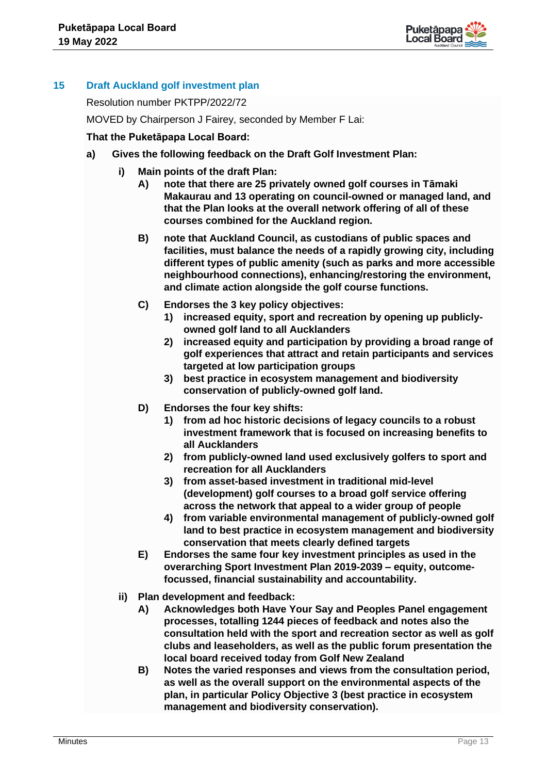

# **15 Draft Auckland golf investment plan**

Resolution number PKTPP/2022/72

MOVED by Chairperson J Fairey, seconded by Member F Lai:

## **That the Puketāpapa Local Board:**

- **a) Gives the following feedback on the Draft Golf Investment Plan:**
	- **i) Main points of the draft Plan:**
		- **A) note that there are 25 privately owned golf courses in Tāmaki Makaurau and 13 operating on council-owned or managed land, and that the Plan looks at the overall network offering of all of these courses combined for the Auckland region.**
		- **B) note that Auckland Council, as custodians of public spaces and facilities, must balance the needs of a rapidly growing city, including different types of public amenity (such as parks and more accessible neighbourhood connections), enhancing/restoring the environment, and climate action alongside the golf course functions.**
		- **C) Endorses the 3 key policy objectives:**
			- **1) increased equity, sport and recreation by opening up publiclyowned golf land to all Aucklanders**
			- **2) increased equity and participation by providing a broad range of golf experiences that attract and retain participants and services targeted at low participation groups**
			- **3) best practice in ecosystem management and biodiversity conservation of publicly-owned golf land.**
		- **D) Endorses the four key shifts:**
			- **1) from ad hoc historic decisions of legacy councils to a robust investment framework that is focused on increasing benefits to all Aucklanders**
			- **2) from publicly-owned land used exclusively golfers to sport and recreation for all Aucklanders**
			- **3) from asset-based investment in traditional mid-level (development) golf courses to a broad golf service offering across the network that appeal to a wider group of people**
			- **4) from variable environmental management of publicly-owned golf land to best practice in ecosystem management and biodiversity conservation that meets clearly defined targets**
		- **E) Endorses the same four key investment principles as used in the overarching Sport Investment Plan 2019-2039 – equity, outcomefocussed, financial sustainability and accountability.**
		- **ii) Plan development and feedback:**
			- **A) Acknowledges both Have Your Say and Peoples Panel engagement processes, totalling 1244 pieces of feedback and notes also the consultation held with the sport and recreation sector as well as golf clubs and leaseholders, as well as the public forum presentation the local board received today from Golf New Zealand**
			- **B) Notes the varied responses and views from the consultation period, as well as the overall support on the environmental aspects of the plan, in particular Policy Objective 3 (best practice in ecosystem management and biodiversity conservation).**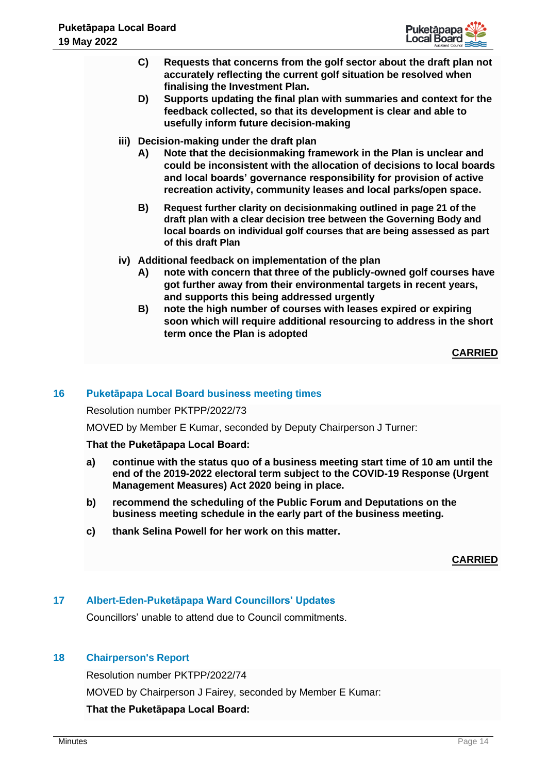

- **C) Requests that concerns from the golf sector about the draft plan not accurately reflecting the current golf situation be resolved when finalising the Investment Plan.**
- **D) Supports updating the final plan with summaries and context for the feedback collected, so that its development is clear and able to usefully inform future decision-making**
- **iii) Decision-making under the draft plan**
	- **A) Note that the decisionmaking framework in the Plan is unclear and could be inconsistent with the allocation of decisions to local boards and local boards' governance responsibility for provision of active recreation activity, community leases and local parks/open space.**
	- **B) Request further clarity on decisionmaking outlined in page 21 of the draft plan with a clear decision tree between the Governing Body and local boards on individual golf courses that are being assessed as part of this draft Plan**
- **iv) Additional feedback on implementation of the plan**
	- **A) note with concern that three of the publicly-owned golf courses have got further away from their environmental targets in recent years, and supports this being addressed urgently**
	- **B) note the high number of courses with leases expired or expiring soon which will require additional resourcing to address in the short term once the Plan is adopted**

# **16 Puketāpapa Local Board business meeting times**

Resolution number PKTPP/2022/73

MOVED by Member E Kumar, seconded by Deputy Chairperson J Turner:

## **That the Puketāpapa Local Board:**

- **a) continue with the status quo of a business meeting start time of 10 am until the end of the 2019-2022 electoral term subject to the COVID-19 Response (Urgent Management Measures) Act 2020 being in place.**
- **b) recommend the scheduling of the Public Forum and Deputations on the business meeting schedule in the early part of the business meeting.**
- **c) thank Selina Powell for her work on this matter.**

**CARRIED**

# **17 Albert-Eden-Puketāpapa Ward Councillors' Updates**

Councillors' unable to attend due to Council commitments.

## **18 Chairperson's Report**

Resolution number PKTPP/2022/74

MOVED by Chairperson J Fairey, seconded by Member E Kumar:

## **That the Puketāpapa Local Board:**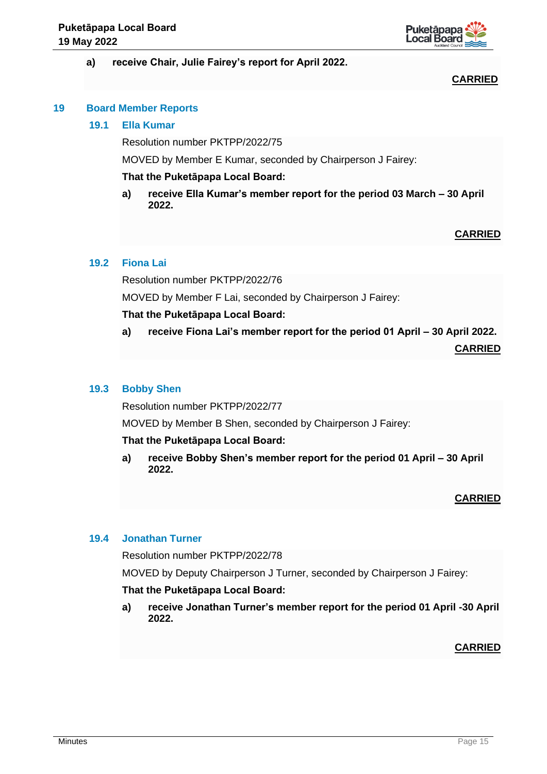

## **a) receive Chair, Julie Fairey's report for April 2022.**

## **CARRIED**

## **19 Board Member Reports**

## **19.1 Ella Kumar**

Resolution number PKTPP/2022/75

MOVED by Member E Kumar, seconded by Chairperson J Fairey:

## **That the Puketāpapa Local Board:**

**a) receive Ella Kumar's member report for the period 03 March – 30 April 2022.**

# **CARRIED**

## **19.2 Fiona Lai**

Resolution number PKTPP/2022/76

MOVED by Member F Lai, seconded by Chairperson J Fairey:

## **That the Puketāpapa Local Board:**

**a) receive Fiona Lai's member report for the period 01 April – 30 April 2022.**

**CARRIED**

## **19.3 Bobby Shen**

Resolution number PKTPP/2022/77

MOVED by Member B Shen, seconded by Chairperson J Fairey:

## **That the Puketāpapa Local Board:**

**a) receive Bobby Shen's member report for the period 01 April – 30 April 2022.**

# **CARRIED**

# **19.4 Jonathan Turner**

Resolution number PKTPP/2022/78

MOVED by Deputy Chairperson J Turner, seconded by Chairperson J Fairey:

## **That the Puketāpapa Local Board:**

**a) receive Jonathan Turner's member report for the period 01 April -30 April 2022.**

**CARRIED**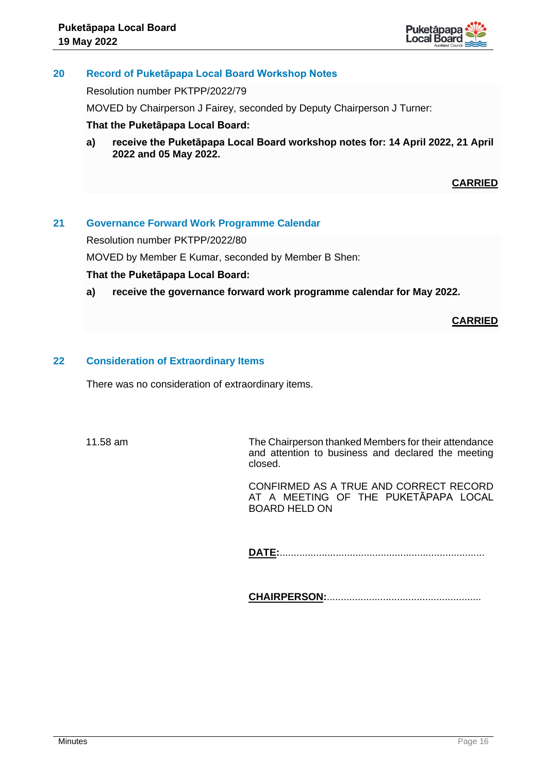

# **20 Record of Puketāpapa Local Board Workshop Notes**

Resolution number PKTPP/2022/79

MOVED by Chairperson J Fairey, seconded by Deputy Chairperson J Turner:

## **That the Puketāpapa Local Board:**

**a) receive the Puketāpapa Local Board workshop notes for: 14 April 2022, 21 April 2022 and 05 May 2022.**

# **CARRIED**

## **21 Governance Forward Work Programme Calendar**

Resolution number PKTPP/2022/80

MOVED by Member E Kumar, seconded by Member B Shen:

## **That the Puketāpapa Local Board:**

**a) receive the governance forward work programme calendar for May 2022.**

**CARRIED**

## **22 Consideration of Extraordinary Items**

There was no consideration of extraordinary items.

11.58 am The Chairperson thanked Members for their attendance and attention to business and declared the meeting closed.

> CONFIRMED AS A TRUE AND CORRECT RECORD AT A MEETING OF THE PUKETĀPAPA LOCAL BOARD HELD ON

**DATE:**.........................................................................

**CHAIRPERSON:**.......................................................